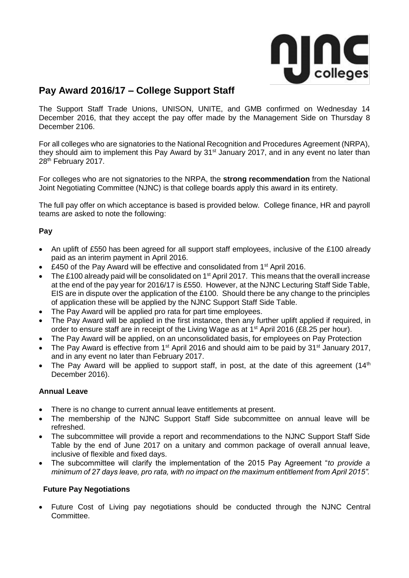

# **Pay Award 2016/17 – College Support Staff**

The Support Staff Trade Unions, UNISON, UNITE, and GMB confirmed on Wednesday 14 December 2016, that they accept the pay offer made by the Management Side on Thursday 8 December 2106.

For all colleges who are signatories to the National Recognition and Procedures Agreement (NRPA), they should aim to implement this Pay Award by 31<sup>st</sup> January 2017, and in any event no later than 28<sup>th</sup> February 2017.

For colleges who are not signatories to the NRPA, the **strong recommendation** from the National Joint Negotiating Committee (NJNC) is that college boards apply this award in its entirety.

The full pay offer on which acceptance is based is provided below. College finance, HR and payroll teams are asked to note the following:

## **Pay**

- An uplift of £550 has been agreed for all support staff employees, inclusive of the £100 already paid as an interim payment in April 2016.
- £450 of the Pay Award will be effective and consolidated from 1<sup>st</sup> April 2016.
- The £100 already paid will be consolidated on  $1<sup>st</sup>$  April 2017. This means that the overall increase at the end of the pay year for 2016/17 is £550. However, at the NJNC Lecturing Staff Side Table, EIS are in dispute over the application of the £100. Should there be any change to the principles of application these will be applied by the NJNC Support Staff Side Table.
- The Pay Award will be applied pro rata for part time employees.
- The Pay Award will be applied in the first instance, then any further uplift applied if required, in order to ensure staff are in receipt of the Living Wage as at  $1<sup>st</sup>$  April 2016 (£8.25 per hour).
- The Pay Award will be applied, on an unconsolidated basis, for employees on Pay Protection
- The Pay Award is effective from 1<sup>st</sup> April 2016 and should aim to be paid by 31<sup>st</sup> January 2017, and in any event no later than February 2017.
- The Pay Award will be applied to support staff, in post, at the date of this agreement  $(14<sup>th</sup>)$ December 2016).

### **Annual Leave**

- There is no change to current annual leave entitlements at present.
- The membership of the NJNC Support Staff Side subcommittee on annual leave will be refreshed.
- The subcommittee will provide a report and recommendations to the NJNC Support Staff Side Table by the end of June 2017 on a unitary and common package of overall annual leave, inclusive of flexible and fixed days.
- The subcommittee will clarify the implementation of the 2015 Pay Agreement "*to provide a minimum of 27 days leave, pro rata, with no impact on the maximum entitlement from April 2015".*

### **Future Pay Negotiations**

 Future Cost of Living pay negotiations should be conducted through the NJNC Central Committee.